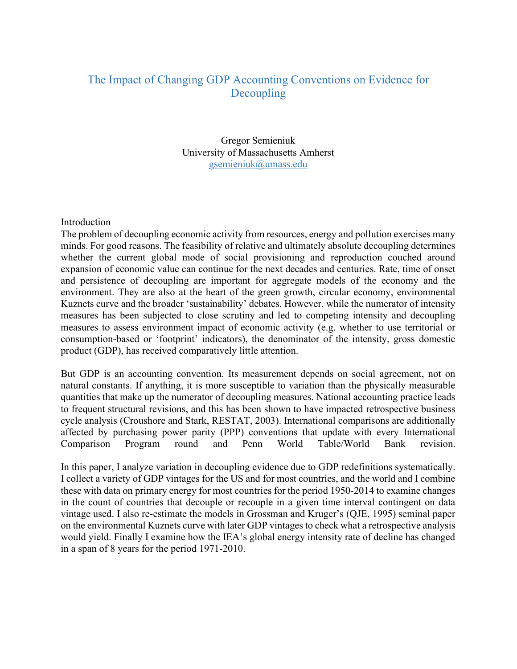# The Impact of Changing GDP Accounting Conventions on Evidence for Decoupling

Gregor Semieniuk University of Massachusetts Amherst gsemieniuk@umass.edu

#### Introduction

The problem of decoupling economic activity from resources, energy and pollution exercises many minds. For good reasons. The feasibility of relative and ultimately absolute decoupling determines whether the current global mode of social provisioning and reproduction couched around expansion of economic value can continue for the next decades and centuries. Rate, time of onset and persistence of decoupling are important for aggregate models of the economy and the environment. They are also at the heart of the green growth, circular economy, environmental Kuznets curve and the broader 'sustainability' debates. However, while the numerator of intensity measures has been subjected to close scrutiny and led to competing intensity and decoupling measures to assess environment impact of economic activity (e.g. whether to use territorial or consumption-based or 'footprint' indicators), the denominator of the intensity, gross domestic product (GDP), has received comparatively little attention.

But GDP is an accounting convention. Its measurement depends on social agreement, not on natural constants. If anything, it is more susceptible to variation than the physically measurable quantities that make up the numerator of decoupling measures. National accounting practice leads to frequent structural revisions, and this has been shown to have impacted retrospective business cycle analysis (Croushore and Stark, RESTAT, 2003). International comparisons are additionally affected by purchasing power parity (PPP) conventions that update with every International Comparison Program round and Penn World Table/World Bank revision.

In this paper, I analyze variation in decoupling evidence due to GDP redefinitions systematically. I collect a variety of GDP vintages for the US and for most countries, and the world and I combine these with data on primary energy for most countries for the period 1950-2014 to examine changes in the count of countries that decouple or recouple in a given time interval contingent on data vintage used. I also re-estimate the models in Grossman and Kruger's (QJE, 1995) seminal paper on the environmental Kuznets curve with later GDP vintages to check what a retrospective analysis would yield. Finally I examine how the IEA's global energy intensity rate of decline has changed in a span of 8 years for the period 1971-2010.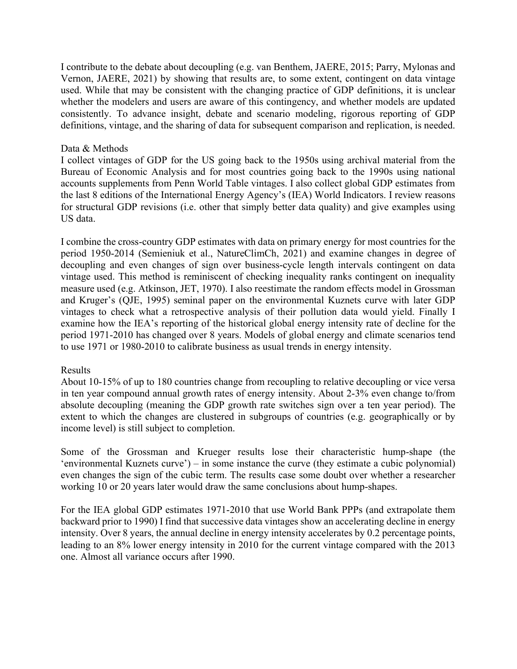I contribute to the debate about decoupling (e.g. van Benthem, JAERE, 2015; Parry, Mylonas and Vernon, JAERE, 2021) by showing that results are, to some extent, contingent on data vintage used. While that may be consistent with the changing practice of GDP definitions, it is unclear whether the modelers and users are aware of this contingency, and whether models are updated consistently. To advance insight, debate and scenario modeling, rigorous reporting of GDP definitions, vintage, and the sharing of data for subsequent comparison and replication, is needed.

## Data & Methods

I collect vintages of GDP for the US going back to the 1950s using archival material from the Bureau of Economic Analysis and for most countries going back to the 1990s using national accounts supplements from Penn World Table vintages. I also collect global GDP estimates from the last 8 editions of the International Energy Agency's (IEA) World Indicators. I review reasons for structural GDP revisions (i.e. other that simply better data quality) and give examples using US data.

I combine the cross-country GDP estimates with data on primary energy for most countries for the period 1950-2014 (Semieniuk et al., NatureClimCh, 2021) and examine changes in degree of decoupling and even changes of sign over business-cycle length intervals contingent on data vintage used. This method is reminiscent of checking inequality ranks contingent on inequality measure used (e.g. Atkinson, JET, 1970). I also reestimate the random effects model in Grossman and Kruger's (QJE, 1995) seminal paper on the environmental Kuznets curve with later GDP vintages to check what a retrospective analysis of their pollution data would yield. Finally I examine how the IEA's reporting of the historical global energy intensity rate of decline for the period 1971-2010 has changed over 8 years. Models of global energy and climate scenarios tend to use 1971 or 1980-2010 to calibrate business as usual trends in energy intensity.

## Results

About 10-15% of up to 180 countries change from recoupling to relative decoupling or vice versa in ten year compound annual growth rates of energy intensity. About 2-3% even change to/from absolute decoupling (meaning the GDP growth rate switches sign over a ten year period). The extent to which the changes are clustered in subgroups of countries (e.g. geographically or by income level) is still subject to completion.

Some of the Grossman and Krueger results lose their characteristic hump-shape (the 'environmental Kuznets curve') – in some instance the curve (they estimate a cubic polynomial) even changes the sign of the cubic term. The results case some doubt over whether a researcher working 10 or 20 years later would draw the same conclusions about hump-shapes.

For the IEA global GDP estimates 1971-2010 that use World Bank PPPs (and extrapolate them backward prior to 1990) I find that successive data vintages show an accelerating decline in energy intensity. Over 8 years, the annual decline in energy intensity accelerates by 0.2 percentage points, leading to an 8% lower energy intensity in 2010 for the current vintage compared with the 2013 one. Almost all variance occurs after 1990.